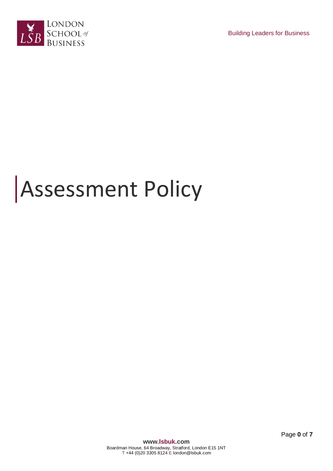

Building Leaders for Business

# Assessment Policy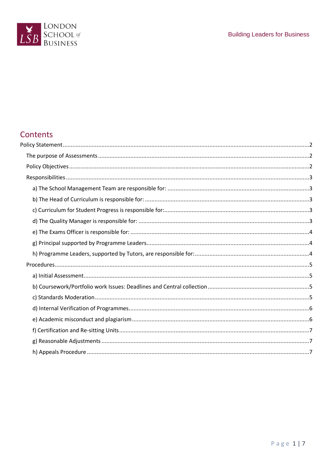

# Contents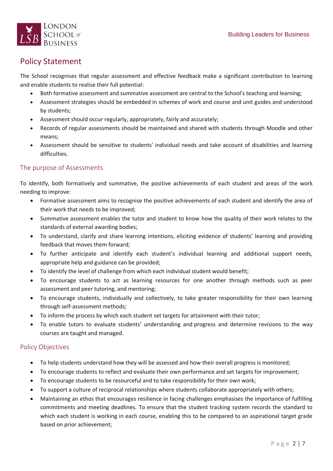

# <span id="page-2-0"></span>Policy Statement

The School recognises that regular assessment and effective feedback make a significant contribution to learning and enable students to realise their full potential:

- Both formative assessment and summative assessment are central to the School's teaching and learning;
- Assessment strategies should be embedded in schemes of work and course and unit guides and understood by students;
- Assessment should occur regularly, appropriately, fairly and accurately;
- Records of regular assessments should be maintained and shared with students through Moodle and other means;
- Assessment should be sensitive to students' individual needs and take account of disabilities and learning difficulties.

# <span id="page-2-1"></span>The purpose of Assessments

To identify, both formatively and summative, the positive achievements of each student and areas of the work needing to improve:

- Formative assessment aims to recognise the positive achievements of each student and identify the area of their work that needs to be improved;
- Summative assessment enables the tutor and student to know how the quality of their work relates to the standards of external awarding bodies;
- To understand, clarify and share learning intentions, eliciting evidence of students' learning and providing feedback that moves them forward;
- To further anticipate and identify each student's individual learning and additional support needs, appropriate help and guidance can be provided;
- To identify the level of challenge from which each individual student would benefit;
- To encourage students to act as learning resources for one another through methods such as peer assessment and peer tutoring, and mentoring;
- To encourage students, individually and collectively, to take greater responsibility for their own learning through self-assessment methods;
- To inform the process by which each student set targets for attainment with their tutor;
- To enable tutors to evaluate students' understanding and progress and determine revisions to the way courses are taught and managed.

# <span id="page-2-2"></span>Policy Objectives

- To help students understand how they will be assessed and how their overall progress is monitored;
- To encourage students to reflect and evaluate their own performance and set targets for improvement;
- To encourage students to be resourceful and to take responsibility for their own work;
- To support a culture of reciprocal relationships where students collaborate appropriately with others;
- Maintaining an ethos that encourages resilience in facing challenges emphasises the importance of fulfilling commitments and meeting deadlines. To ensure that the student tracking system records the standard to which each student is working in each course, enabling this to be compared to an aspirational target grade based on prior achievement;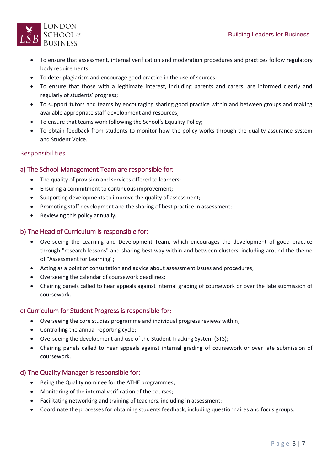

- To ensure that assessment, internal verification and moderation procedures and practices follow regulatory body requirements;
- To deter plagiarism and encourage good practice in the use of sources;
- To ensure that those with a legitimate interest, including parents and carers, are informed clearly and regularly of students' progress;
- To support tutors and teams by encouraging sharing good practice within and between groups and making available appropriate staff development and resources;
- To ensure that teams work following the School's Equality Policy;
- To obtain feedback from students to monitor how the policy works through the quality assurance system and Student Voice.

# <span id="page-3-0"></span>Responsibilities

# <span id="page-3-1"></span>a) The School Management Team are responsible for:

- The quality of provision and services offered to learners;
- Ensuring a commitment to continuous improvement;
- Supporting developments to improve the quality of assessment;
- Promoting staff development and the sharing of best practice in assessment;
- Reviewing this policy annually.

# <span id="page-3-2"></span>b) The Head of Curriculum is responsible for:

- Overseeing the Learning and Development Team, which encourages the development of good practice through "research lessons" and sharing best way within and between clusters, including around the theme of "Assessment for Learning";
- Acting as a point of consultation and advice about assessment issues and procedures;
- Overseeing the calendar of coursework deadlines;
- Chairing panels called to hear appeals against internal grading of coursework or over the late submission of coursework.

# <span id="page-3-3"></span>c) Curriculum for Student Progress is responsible for:

- Overseeing the core studies programme and individual progress reviews within;
- Controlling the annual reporting cycle;
- Overseeing the development and use of the Student Tracking System (STS);
- Chairing panels called to hear appeals against internal grading of coursework or over late submission of coursework.

# <span id="page-3-4"></span>d) The Quality Manager is responsible for:

- Being the Quality nominee for the ATHE programmes;
- Monitoring of the internal verification of the courses;
- Facilitating networking and training of teachers, including in assessment;
- Coordinate the processes for obtaining students feedback, including questionnaires and focus groups.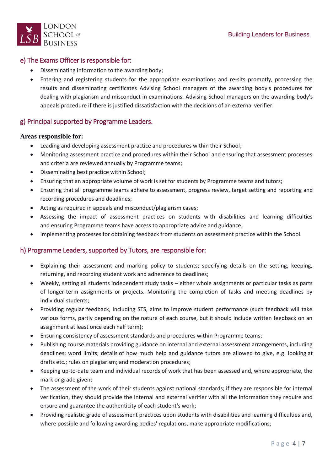



# <span id="page-4-0"></span>e) The Exams Officer is responsible for:

- Disseminating information to the awarding body;
- Entering and registering students for the appropriate examinations and re-sits promptly, processing the results and disseminating certificates Advising School managers of the awarding body's procedures for dealing with plagiarism and misconduct in examinations. Advising School managers on the awarding body's appeals procedure if there is justified dissatisfaction with the decisions of an external verifier.

# <span id="page-4-1"></span>g) Principal supported by Programme Leaders.

#### **Areas responsible for:**

- Leading and developing assessment practice and procedures within their School;
- Monitoring assessment practice and procedures within their School and ensuring that assessment processes and criteria are reviewed annually by Programme teams;
- Disseminating best practice within School;
- Ensuring that an appropriate volume of work is set for students by Programme teams and tutors;
- Ensuring that all programme teams adhere to assessment, progress review, target setting and reporting and recording procedures and deadlines;
- Acting as required in appeals and misconduct/plagiarism cases;
- Assessing the impact of assessment practices on students with disabilities and learning difficulties and ensuring Programme teams have access to appropriate advice and guidance;
- Implementing processes for obtaining feedback from students on assessment practice within the School.

# <span id="page-4-2"></span>h) Programme Leaders, supported by Tutors, are responsible for:

- Explaining their assessment and marking policy to students; specifying details on the setting, keeping, returning, and recording student work and adherence to deadlines;
- Weekly, setting all students independent study tasks either whole assignments or particular tasks as parts of longer-term assignments or projects. Monitoring the completion of tasks and meeting deadlines by individual students;
- Providing regular feedback, including STS, aims to improve student performance (such feedback will take various forms, partly depending on the nature of each course, but it should include written feedback on an assignment at least once each half term);
- Ensuring consistency of assessment standards and procedures within Programme teams;
- Publishing course materials providing guidance on internal and external assessment arrangements, including deadlines; word limits; details of how much help and guidance tutors are allowed to give, e.g. looking at drafts etc.; rules on plagiarism; and moderation procedures;
- Keeping up-to-date team and individual records of work that has been assessed and, where appropriate, the mark or grade given;
- The assessment of the work of their students against national standards; if they are responsible for internal verification, they should provide the internal and external verifier with all the information they require and ensure and guarantee the authenticity of each student's work;
- Providing realistic grade of assessment practices upon students with disabilities and learning difficulties and, where possible and following awarding bodies' regulations, make appropriate modifications;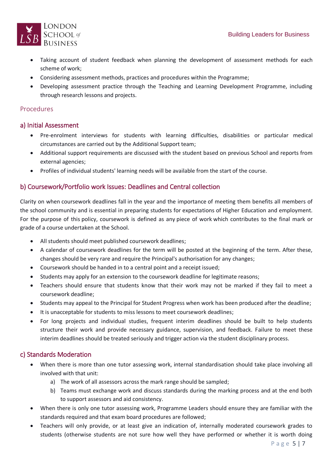

- Taking account of student feedback when planning the development of assessment methods for each scheme of work;
- Considering assessment methods, practices and procedures within the Programme;
- Developing assessment practice through the Teaching and Learning Development Programme, including through research lessons and projects.

#### <span id="page-5-0"></span>Procedures

#### <span id="page-5-1"></span>a) Initial Assessment

- Pre-enrolment interviews for students with learning difficulties, disabilities or particular medical circumstances are carried out by the Additional Support team;
- Additional support requirements are discussed with the student based on previous School and reports from external agencies;
- Profiles of individual students' learning needs will be available from the start of the course.

#### <span id="page-5-2"></span>b) Coursework/Portfolio work Issues: Deadlines and Central collection

Clarity on when coursework deadlines fall in the year and the importance of meeting them benefits all members of the school community and is essential in preparing students for expectations of Higher Education and employment. For the purpose of this policy, coursework is defined as any piece of work which contributes to the final mark or grade of a course undertaken at the School.

- All students should meet published coursework deadlines;
- A calendar of coursework deadlines for the term will be posted at the beginning of the term. After these, changes should be very rare and require the Principal's authorisation for any changes;
- Coursework should be handed in to a central point and a receipt issued;
- Students may apply for an extension to the coursework deadline for legitimate reasons;
- Teachers should ensure that students know that their work may not be marked if they fail to meet a coursework deadline;
- Students may appeal to the Principal for Student Progress when work has been produced after the deadline;
- It is unacceptable for students to miss lessons to meet coursework deadlines;
- For long projects and individual studies, frequent interim deadlines should be built to help students structure their work and provide necessary guidance, supervision, and feedback. Failure to meet these interim deadlines should be treated seriously and trigger action via the student disciplinary process.

#### <span id="page-5-3"></span>c) Standards Moderation

- When there is more than one tutor assessing work, internal standardisation should take place involving all involved with that unit:
	- a) The work of all assessors across the mark range should be sampled;
	- b) Teams must exchange work and discuss standards during the marking process and at the end both to support assessors and aid consistency.
- When there is only one tutor assessing work, Programme Leaders should ensure they are familiar with the standards required and that exam board procedures are followed;
- Teachers will only provide, or at least give an indication of, internally moderated coursework grades to students (otherwise students are not sure how well they have performed or whether it is worth doing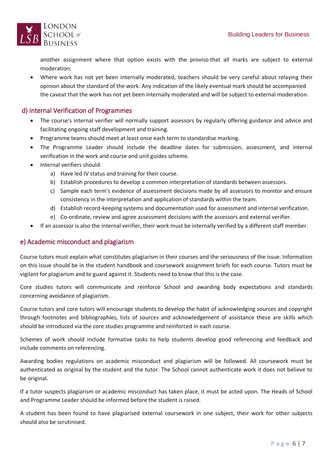

another assignment where that option exists with the proviso that all marks are subject to external moderation;

 Where work has not yet been internally moderated, teachers should be very careful about relaying their opinion about the standard of the work. Any indication of the likely eventual mark should be accompanied the caveat that the work has not yet been internally moderated and will be subject to external moderation.

# <span id="page-6-0"></span>d) Internal Verification of Programmes

- The course's internal verifier will normally support assessors by regularly offering guidance and advice and facilitating ongoing staff development and training.
- Programme teams should meet at least once each term to standardise marking.
- The Programme Leader should include the deadline dates for submission, assessment, and internal verification in the work and course and unit guides scheme.
- Internal verifiers should:
	- a) Have led IV status and training for their course.
	- b) Establish procedures to develop a common interpretation of standards between assessors.
	- c) Sample each term's evidence of assessment decisions made by all assessors to monitor and ensure consistency in the interpretation and application of standards within the team.
	- d) Establish record-keeping systems and documentation used for assessment and internal verification.
	- e) Co-ordinate, review and agree assessment decisions with the assessors and external verifier.
- If an assessor is also the internal verifier, their work must be internally verified by a different staff member.

# <span id="page-6-1"></span>e) Academic misconduct and plagiarism

Course tutors must explain what constitutes plagiarism in their courses and the seriousness of the issue. Information on this issue should be in the student handbook and coursework assignment briefs for each course. Tutors must be vigilant for plagiarism and to guard against it. Students need to know that this is the case.

Core studies tutors will communicate and reinforce School and awarding body expectations and standards concerning avoidance of plagiarism.

Course tutors and core tutors will encourage students to develop the habit of acknowledging sources and copyright through footnotes and bibliographies, lists of sources and acknowledgement of assistance these are skills which should be introduced via the core studies programme and reinforced in each course.

Schemes of work should include formative tasks to help students develop good referencing and feedback and include comments on referencing.

Awarding bodies regulations on academic misconduct and plagiarism will be followed. All coursework must be authenticated as original by the student and the tutor. The School cannot authenticate work it does not believe to be original.

If a tutor suspects plagiarism or academic misconduct has taken place, it must be acted upon. The Heads of School and Programme Leader should be informed before the student is raised.

A student has been found to have plagiarised external coursework in one subject, their work for other subjects should also be scrutinised.